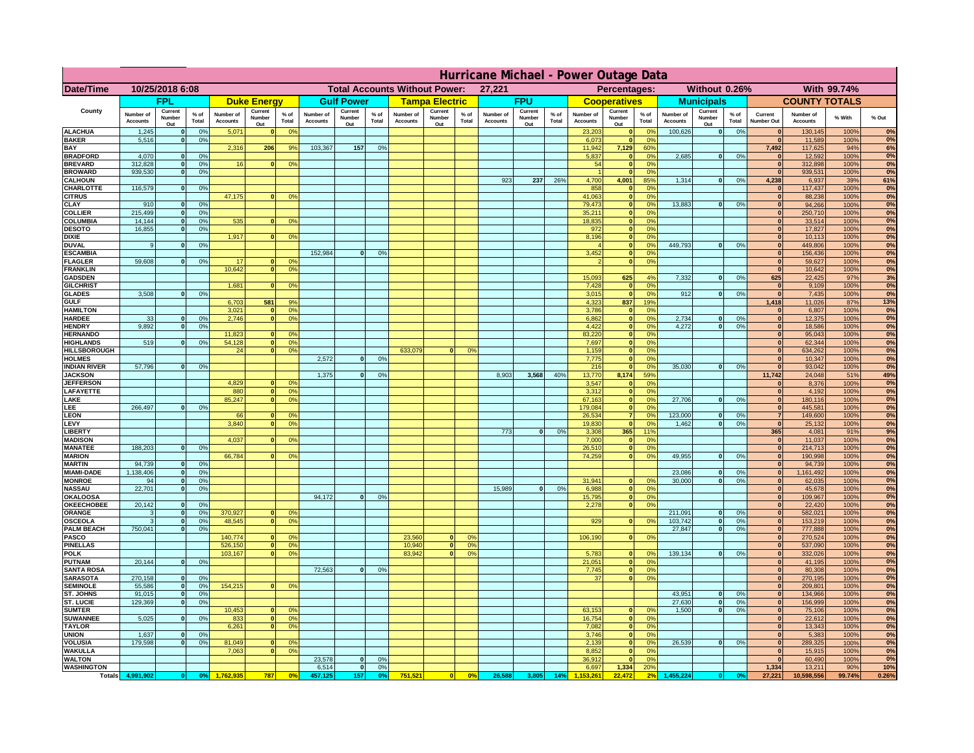|                                    | Hurricane Michael - Power Outage Data |                              |                      |                              |                                 |                                  |                                                |                          |                 |                              |                                              |                     |                              |                          |               |                              |                          |                                               |                              |                          |                 |                              |                              |               |              |
|------------------------------------|---------------------------------------|------------------------------|----------------------|------------------------------|---------------------------------|----------------------------------|------------------------------------------------|--------------------------|-----------------|------------------------------|----------------------------------------------|---------------------|------------------------------|--------------------------|---------------|------------------------------|--------------------------|-----------------------------------------------|------------------------------|--------------------------|-----------------|------------------------------|------------------------------|---------------|--------------|
| Date/Time                          | 10/25/2018 6:08                       |                              |                      |                              |                                 |                                  | <b>Total Accounts Without Power:</b><br>27,221 |                          |                 |                              | Without 0.26%<br>With 99.74%<br>Percentages: |                     |                              |                          |               |                              |                          |                                               |                              |                          |                 |                              |                              |               |              |
|                                    | <b>FPL</b>                            |                              | <b>Duke Energy</b>   |                              |                                 | <b>Gulf Power</b>                |                                                | <b>Tampa Electric</b>    |                 | <b>FPU</b>                   |                                              | <b>Cooperatives</b> |                              | <b>Municipals</b>        |               |                              | <b>COUNTY TOTALS</b>     |                                               |                              |                          |                 |                              |                              |               |              |
| County                             | Number of<br><b>Accounts</b>          | Current<br>Number<br>Out     | $%$ of<br>Total      | Number of<br><b>Accounts</b> | Current<br><b>Number</b><br>Out | $%$ of<br>Total                  | Number of<br>Accounts                          | Current<br>Number<br>Out | $%$ of<br>Total | Number of<br><b>Accounts</b> | Current<br>Number<br>Out                     | $%$ of<br>Total     | Number of<br><b>Accounts</b> | Current<br>Number<br>Out | % of<br>Total | Number of<br><b>Accounts</b> | Current<br>Number<br>Out | $%$ of<br>Total                               | Number of<br><b>Accounts</b> | Current<br>Number<br>Out | $%$ of<br>Total | Current<br>Number Out        | Number of<br><b>Accounts</b> | % With        | % Out        |
| <b>ALACHUA</b><br><b>BAKER</b>     | 1,245<br>5,516                        | $\mathbf{0}$<br>$\mathbf{0}$ | 0%<br>0%             | 5,071                        |                                 | 0 <sup>9</sup>                   |                                                |                          |                 |                              |                                              |                     |                              |                          |               | 23,203<br>6,073              | $\bf{0}$<br>$\bf{0}$     | $^{\circ}$<br>0 <sup>9</sup>                  | 100,626                      | 0                        | 0%              | $\mathbf{0}$<br>$\mathbf{0}$ | 130,145<br>11,589            | 100%<br>100%  | 0%<br>0%     |
| BAY                                |                                       |                              |                      | 2,316                        | 206                             | 9%                               | 103,367                                        | 157                      | 0%              |                              |                                              |                     |                              |                          |               | 11,942                       | 7,129                    | 60%                                           |                              |                          |                 | 7,492                        | 117,625                      | 94%           | 6%           |
| <b>BRADFORD</b><br><b>BREVARD</b>  | 4,070<br>312.828                      | $\Omega$<br>$\mathbf{0}$     | 0%<br>0%             | 16                           |                                 | 0 <sup>o</sup>                   |                                                |                          |                 |                              |                                              |                     |                              |                          |               | 5,837<br>54                  | 0 <br> 0                 | 0 <sup>o</sup><br>0 <sup>9</sup>              | 2,685                        | 0                        | 0%              | $\Omega$<br> 0               | 12,592<br>312,898            | 100%<br>100%  | 0%<br>0%     |
| <b>BROWARD</b>                     | 939.530                               | $\mathbf{0}$                 | 0%                   |                              |                                 |                                  |                                                |                          |                 |                              |                                              |                     |                              |                          |               |                              | 0                        | 0%                                            |                              |                          |                 | 0                            | 939,531                      | 100%          | 0%           |
| <b>CALHOUN</b><br>CHARLOTTE        | 116,579                               | $\mathbf{0}$                 | 0%                   |                              |                                 |                                  |                                                |                          |                 |                              |                                              |                     | 923                          | 237                      | 26%           | 4,700<br>858                 | 4,001<br>$\mathbf{0}$    | 85%<br>0%                                     | 1,314                        | 0                        | 0%              | 4,238<br>$\mathbf{0}$        | 6,937<br>117,437             | 39%<br>100%   | 61%<br>0%    |
| <b>CITRUS</b>                      |                                       |                              |                      | 47,175                       |                                 | 0 <sup>o</sup>                   |                                                |                          |                 |                              |                                              |                     |                              |                          |               | 41.063                       | 0                        | 0 <sup>9</sup>                                |                              |                          |                 | $\mathbf{0}$                 | 88.238                       | 100%          | 0%           |
| CLAY                               | 910                                   |                              | 0%                   |                              |                                 |                                  |                                                |                          |                 |                              |                                              |                     |                              |                          |               | 79,473                       | 0                        | 0%                                            | 13,883                       | 0                        | 0%              | $\bf{0}$                     | 94,266                       | 100%          | 0%           |
| <b>COLLIER</b><br>COLUMBIA         | 215,499<br>14,144                     |                              | 0%<br>0%             | 535                          |                                 | 0 <sup>o</sup>                   |                                                |                          |                 |                              |                                              |                     |                              |                          |               | 35,211<br>18,835             | 0 <br> 0                 | 0 <sup>9</sup><br>0 <sup>9</sup>              |                              |                          |                 | $\mathbf{0}$<br>$\mathbf{0}$ | 250,710<br>33,514            | 100%<br>100%  | 0%<br>0%     |
| <b>DESOTO</b>                      | 16,855                                |                              | 0%                   |                              |                                 |                                  |                                                |                          |                 |                              |                                              |                     |                              |                          |               | 972                          | 0                        | 0 <sup>9</sup>                                |                              |                          |                 |                              | 17,827                       | 100%          | 0%           |
| <b>DIXIE</b><br><b>DUVAL</b>       | 9                                     |                              | 0 <sup>9</sup>       | 1,917                        |                                 | 0 <sup>o</sup>                   |                                                |                          |                 |                              |                                              |                     |                              |                          |               | 8,196                        | 0 <br> 0                 | 0 <sup>9</sup><br>0 <sup>9</sup>              | 449,793                      | 0                        | 0%              | $\mathbf{0}$                 | 10,113<br>449,806            | 100%<br>100%  | 0%<br>0%     |
| <b>ESCAMBIA</b>                    |                                       |                              |                      |                              |                                 |                                  | 152,984                                        | $\Omega$                 | 0 <sup>9</sup>  |                              |                                              |                     |                              |                          |               | 3,452                        | $\mathbf{0}$             | 0 <sup>o</sup>                                |                              |                          |                 | $\mathbf{0}$                 | 156,436                      | 100%          | 0%           |
| <b>FLAGLER</b><br><b>FRANKLIN</b>  | 59,608                                | $\mathbf{0}$                 | 0 <sup>9</sup>       | 17<br>10,642                 |                                 | 0 <sup>9</sup><br>0 <sup>9</sup> |                                                |                          |                 |                              |                                              |                     |                              |                          |               |                              | $\mathbf{0}$             | 0 <sup>9</sup>                                |                              |                          |                 | $\mathbf{0}$<br>$\mathbf{0}$ | 59,627<br>10,642             | 100%<br>100%  | 0%<br>0%     |
| <b>GADSDEN</b>                     |                                       |                              |                      |                              |                                 |                                  |                                                |                          |                 |                              |                                              |                     |                              |                          |               | 15,093                       | 625                      | 4%                                            | 7,332                        | 0                        | 0%              | 625                          | 22,425                       | 97%           | 3%           |
| <b>GILCHRIST</b>                   |                                       |                              |                      | 1.681                        |                                 | 0 <sup>9</sup>                   |                                                |                          |                 |                              |                                              |                     |                              |                          |               | 7,428                        | $\mathbf{0}$             | 0 <sup>9</sup>                                |                              |                          |                 | $\Omega$                     | 9,109                        | 100%          | 0%           |
| <b>GLADES</b><br><b>GULF</b>       | 3.508                                 |                              | 0%                   | 6,703                        | 581                             | 9%                               |                                                |                          |                 |                              |                                              |                     |                              |                          |               | 3,015<br>4,323               | 0 <br>837                | 0%<br>19%                                     | 912                          | 0                        | 0%              | 0 <br>1,418                  | 7,435<br>11,026              | 100%<br>87%   | 0%<br>13%    |
| <b>HAMILTON</b>                    |                                       |                              |                      | 3,021                        |                                 | 0 <sup>9</sup>                   |                                                |                          |                 |                              |                                              |                     |                              |                          |               | 3,786                        | 0                        | 0%                                            |                              |                          |                 | 0                            | 6,807                        | 100%          | 0%           |
| <b>HARDEE</b><br><b>HENDRY</b>     | 33<br>9.892                           | $\mathbf{0}$<br>$\Omega$     | 0%<br>0 <sup>9</sup> | 2,746                        |                                 | 0 <sup>9</sup>                   |                                                |                          |                 |                              |                                              |                     |                              |                          |               | 6,862<br>4,422               |                          | 0 <br>0%<br> 0 <br>0%                         | 2,734<br>4.272               | $\mathbf{0}$<br> 0       | 0%<br>0%        | 0 <br> 0                     | 12,375<br>18,586             | 100%<br>100%  | 0%<br>0%     |
| <b>HERNANDO</b>                    |                                       |                              |                      | 11,823                       |                                 | 0 <sup>o</sup>                   |                                                |                          |                 |                              |                                              |                     |                              |                          |               | 83,220                       |                          | 0 <br>0 <sup>9</sup>                          |                              |                          |                 | 0                            | 95,043                       | 100%          | 0%           |
| <b>HIGHLANDS</b><br>HILLSBOROUGH   | 519                                   | $\Omega$                     | 0%                   | 54,128<br>24                 |                                 | 0%<br>0 <sup>o</sup>             |                                                |                          |                 | 633,079                      | $\Omega$                                     | 0 <sup>9</sup>      |                              |                          |               | 7,697<br>1,159               |                          | 0 <br>0 <sup>9</sup><br> 0 <br>0 <sup>9</sup> |                              |                          |                 | 0 <br> 0                     | 62,344<br>634,262            | 100%<br>100%  | 0%<br>0%     |
| <b>HOLMES</b>                      |                                       |                              |                      |                              |                                 |                                  | 2,572                                          | $\Omega$                 | 0 <sup>9</sup>  |                              |                                              |                     |                              |                          |               | 7,775                        |                          | 0 <br>0 <sup>9</sup>                          |                              |                          |                 | $\mathbf{0}$                 | 10,347                       | 100%          | 0%           |
| <b>INDIAN RIVER</b>                | 57,796                                |                              | 0%                   |                              |                                 |                                  |                                                | $\Omega$                 |                 |                              |                                              |                     |                              |                          |               | 216                          | 0                        | 0 <sup>9</sup>                                | 35.030                       | 0                        | 0%              | $\mathbf{0}$                 | 93,042                       | 100%          | 0%<br>49%    |
| <b>JACKSON</b><br><b>JEFFERSON</b> |                                       |                              |                      | 4.829                        |                                 | 0 <sup>9</sup>                   | 1,375                                          |                          | 0 <sup>9</sup>  |                              |                                              |                     | 8,903                        | 3,568                    | 40%           | 13,770<br>3.547              | 8,174<br>$\mathbf{0}$    | 59%<br>0%                                     |                              |                          |                 | 11,742<br>$\mathbf{0}$       | 24,048<br>8,376              | 51%<br>100%   | 0%           |
| LAFAYETTE                          |                                       |                              |                      | 880                          | n.                              | 0 <sup>9</sup>                   |                                                |                          |                 |                              |                                              |                     |                              |                          |               | 3.312                        |                          | $\mathbf{0}$<br>0%                            |                              |                          |                 | 0                            | 4.192                        | 100%          | 0%           |
| LAKE<br>LEE                        | 266,497                               |                              | 0%                   | 85,247                       |                                 | 0%                               |                                                |                          |                 |                              |                                              |                     |                              |                          |               | 67,163<br>179,084            |                          | 0 <br>0%<br>0%<br> 0                          | 27,706                       | $\mathbf{0}$             | 0%              | 0 <br> 0                     | 180,116<br>445,581           | 100%<br>100%  | 0%<br>0%     |
| <b>LEON</b>                        |                                       |                              |                      | 66                           |                                 | 0 <sup>9</sup>                   |                                                |                          |                 |                              |                                              |                     |                              |                          |               | 26,534                       |                          | 7 <sup>1</sup><br>0%                          | 123,000                      | $\mathbf{0}$             | 0%              | 7 <sup>1</sup>               | 149,600                      | 100%          | 0%           |
| LEVY<br><b>LIBERT</b>              |                                       |                              |                      | 3,840                        |                                 | 0 <sup>9</sup>                   |                                                |                          |                 |                              |                                              |                     | 773                          | $\Omega$                 | 0%            | 19,830<br>3,308              | 0 <br>365                | 0 <sup>9</sup><br>11%                         | 1,462                        | $\mathbf{0}$             | 0%              | 0 <br>365                    | 25,132<br>4,081              | 100%<br>91%   | 0%<br>9%     |
| <b>MADISON</b>                     |                                       |                              |                      | 4,037                        |                                 | 0 <sup>o</sup>                   |                                                |                          |                 |                              |                                              |                     |                              |                          |               | 7,000                        |                          | 0 <br>0%                                      |                              |                          |                 | 0                            | 11,037                       | 100%          | 0%           |
| <b>MANATEE</b><br><b>MARION</b>    | 188,203                               | $\mathbf{0}$                 | 0 <sup>9</sup>       | 66,784                       |                                 | 0 <sup>o</sup>                   |                                                |                          |                 |                              |                                              |                     |                              |                          |               | 26,510<br>74,259             |                          | 0%<br> 0 <br> 0 <br>0%                        | 49,955                       | 0                        | 0%              | 0 <br> 0                     | 214,713<br>190,998           | 100%<br>100%  | 0%<br>0%     |
| <b>MARTIN</b>                      | 94,739                                | $\mathbf{0}$                 | 0 <sup>9</sup>       |                              |                                 |                                  |                                                |                          |                 |                              |                                              |                     |                              |                          |               |                              |                          |                                               |                              |                          |                 | 0                            | 94,739                       | 100%          | 0%           |
| <b>MIAMI-DADE</b>                  | 1,138,406                             | 0 <br>-ol                    | 0%                   |                              |                                 |                                  |                                                |                          |                 |                              |                                              |                     |                              |                          |               |                              | $\mathbf{0}$             | 0 <sup>9</sup>                                | 23,086                       | 0 <br> 0                 | 0%              | 0 <br>$\mathbf{0}$           | 1,161,492                    | 100%          | 0%<br>0%     |
| <b>MONROE</b><br><b>NASSAU</b>     | 94<br>22,701                          | 0                            | 0%<br>0%             |                              |                                 |                                  |                                                |                          |                 |                              |                                              |                     | 15,989                       | 0                        | 0%            | 31,941<br>6,988              |                          | 0 <br>0%                                      | 30,000                       |                          | 0%              | 0                            | 62,035<br>45,678             | 100%<br>100%  | 0%           |
| <b>OKALOOSA</b>                    |                                       |                              |                      |                              |                                 |                                  | 94,172                                         | 0                        | 0%              |                              |                                              |                     |                              |                          |               | 15,795                       |                          | 0%<br> 0                                      |                              |                          |                 | 0                            | 109,967                      | 100%          | 0%           |
| <b>OKEECHOBEE</b><br>ORANGE        | 20,142<br>3                           | 0<br> 0                      | 0%<br>0%             | 370,927                      |                                 | 0 <sup>9</sup>                   |                                                |                          |                 |                              |                                              |                     |                              |                          |               | 2,278                        |                          | 0%<br> 0                                      | 211,091                      | 0                        | 0%              | 0 <br> 0                     | 22,420<br>582,021            | 100%<br>100%  | 0%<br>0%     |
| <b>OSCEOLA</b>                     | 3                                     | 0                            | 0%                   | 48,545                       | $\mathbf{0}$                    | 0%                               |                                                |                          |                 |                              |                                              |                     |                              |                          |               | 929                          |                          | 0 <br>0%                                      | 103,742                      | 0                        | 0%              | 0                            | 153,219                      | 100%          | 0%           |
| <b>PALM BEACH</b><br><b>PASCO</b>  | 750,041                               | 0                            | 0%                   | 140,774                      |                                 | 0 <sup>9</sup>                   |                                                |                          |                 | 23,560                       | $\mathbf{0}$                                 | O <sup>o</sup>      |                              |                          |               | 106,190                      |                          | 0%<br> 0                                      | 27,847                       | 0                        | 0%              | 0 <br> 0                     | 777,888<br>270,524           | 100%<br>100%  | 0%<br>0%     |
| <b>PINELLAS</b>                    |                                       |                              |                      | 526,150                      | $\mathbf{0}$                    | 0%                               |                                                |                          |                 | 10,940                       | 0                                            | 0 <sup>9</sup>      |                              |                          |               |                              |                          |                                               |                              |                          |                 | 0                            | 537,090                      | 100%          | 0%           |
| <b>POLK</b><br><b>PUTNAM</b>       | 20,144                                | 0                            | 0%                   | 103,167                      | $\Omega$                        | 0 <sup>9</sup>                   |                                                |                          |                 | 83,942                       | 0                                            | 0 <sup>o</sup>      |                              |                          |               | 5,783<br>21,051              |                          | 0 <br>$^{\circ}$<br>0 <sup>9</sup><br> 0      | 139,134                      | 0                        | 0%              | 0                            | 332,026<br>41,195            | 100%<br>100%  | 0%<br>0%     |
| <b>SANTA ROSA</b>                  |                                       |                              |                      |                              |                                 |                                  | 72,563                                         | 0                        | 0%              |                              |                                              |                     |                              |                          |               | 7,745                        |                          | 0 <sup>9</sup><br> 0                          |                              |                          |                 | 0 <br>$\Omega$               | 80,308                       | 100%          | 0%           |
| <b>SARASOTA</b>                    | 270,158                               | 0                            | 0 <sup>9</sup>       |                              |                                 |                                  |                                                |                          |                 |                              |                                              |                     |                              |                          |               | 37                           |                          | 0%<br> 0                                      |                              |                          |                 | $\mathbf{0}$                 | 270,195                      | 100%          | 0%<br>0%     |
| <b>SEMINOLE</b><br>ST. JOHNS       | 55,586<br>91,015                      | 0 <br> 0                     | 0 <sup>9</sup><br>0% | 154,215                      | $\mathbf{0}$                    | 0 <sup>9</sup>                   |                                                |                          |                 |                              |                                              |                     |                              |                          |               |                              |                          |                                               | 43,951                       | 0                        | 0%              | 0 <br>$\mathbf{0}$           | 209,801<br>134,966           | 100%<br>100%  | 0%           |
| ST. LUCIE                          | 129,369                               | $\mathbf{0}$                 | 0%                   |                              |                                 |                                  |                                                |                          |                 |                              |                                              |                     |                              |                          |               |                              |                          |                                               | 27,630                       | 0                        | 0%              | $\mathbf{0}$                 | 156,999                      | 100%          | 0%           |
| <b>SUMTER</b><br><b>SUWANNEE</b>   | 5,025                                 | $\Omega$                     | 0%                   | 10,453<br>833                | $\mathbf{0}$                    | 0 <sup>9</sup><br>0 <sup>9</sup> |                                                |                          |                 |                              |                                              |                     |                              |                          |               | 63,153<br>16,754             |                          | 0 <sup>9</sup><br>$\mathbf{0}$<br> 0 <br>0%   | 1.500                        | 0                        | 0%              | $\Omega$<br>$\mathbf{0}$     | 75,106<br>22,612             | 100%<br>100%  | 0%<br>0%     |
| <b>TAYLOR</b>                      |                                       |                              |                      | 6,261                        |                                 | 0%                               |                                                |                          |                 |                              |                                              |                     |                              |                          |               | 7,082                        | 0                        | 0%                                            |                              |                          |                 | 0                            | 13,343                       | 100%          | 0%           |
| <b>UNION</b><br><b>VOLUSIA</b>     | 1.637<br>179.598                      | $\mathbf{0}$<br>$\mathbf{0}$ | 0%<br>0%             | 81,049                       |                                 | 0 <sup>9</sup>                   |                                                |                          |                 |                              |                                              |                     |                              |                          |               | 3.746<br>2.139               |                          | 0%<br> 0 <br> 0 <br>0%                        | 26.539                       | 0                        | 0%              | $\mathbf{0}$<br>$\mathbf{0}$ | 5,383<br>289,325             | 100%<br>100%  | $0\%$<br>0%  |
| <b>WAKULLA</b>                     |                                       |                              |                      | 7,063                        |                                 | 0 <sup>o</sup>                   |                                                |                          |                 |                              |                                              |                     |                              |                          |               | 8,852                        | 0                        | 0%                                            |                              |                          |                 | $\mathbf{0}$                 | 15,915                       | 100%          | 0%           |
| <b>WALTON</b>                      |                                       |                              |                      |                              |                                 |                                  | 23,578                                         | 0                        | 0 <sup>9</sup>  |                              |                                              |                     |                              |                          |               | 36,912                       | 0                        | 0%                                            |                              |                          |                 | $\mathbf{0}$                 | 60,490                       | 100%          | 0%           |
| <b>WASHINGTON</b><br><b>Totals</b> | 4,991,902                             | 0                            | 0 <sup>o</sup>       |                              | 787                             | 0 <sup>5</sup>                   | 6,514<br>457,125                               | 0 <br>157                | 0%<br>0%        | 751,521                      | 0                                            | 0%                  | 26,588                       | 3,805                    | 14%           | 6,697                        | 1,334<br>22.472          | 20%                                           | 455,224                      |                          | 0 <sup>o</sup>  | 1,334<br>27,221              | 13,211<br>10,598,556         | 90%<br>99.74% | 10%<br>0.26% |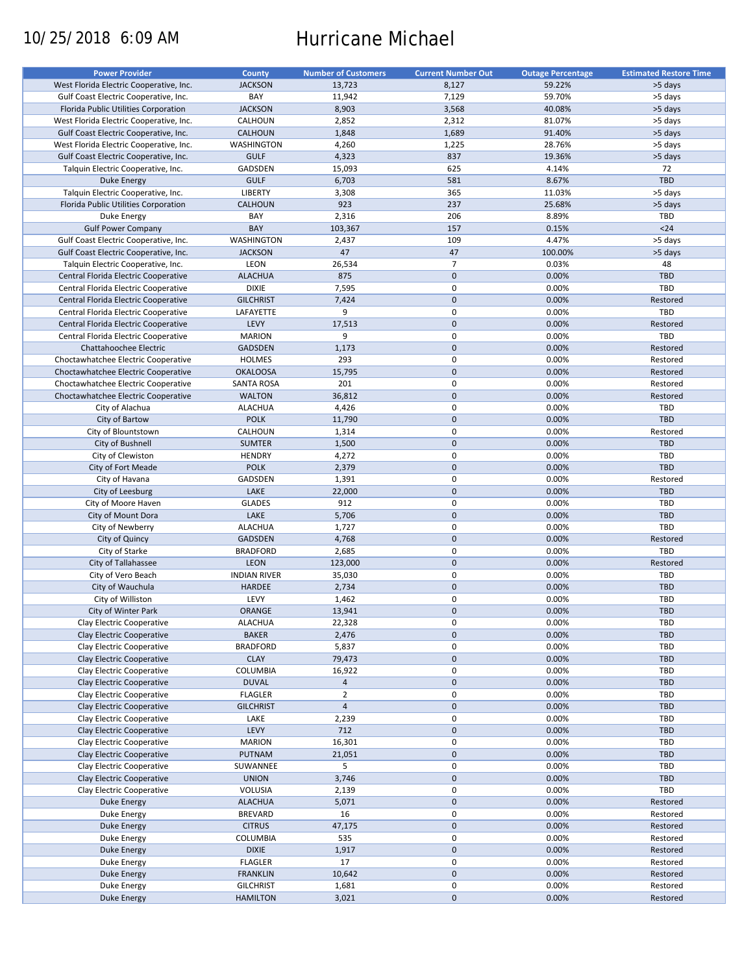# 10/25/2018 6:09 AM Hurricane Michael

| <b>Power Provider</b>                   | County              | <b>Number of Customers</b> | <b>Current Number Out</b> | <b>Outage Percentage</b> | <b>Estimated Restore Time</b> |
|-----------------------------------------|---------------------|----------------------------|---------------------------|--------------------------|-------------------------------|
| West Florida Electric Cooperative, Inc. | <b>JACKSON</b>      | 13,723                     | 8,127                     | 59.22%                   | >5 days                       |
| Gulf Coast Electric Cooperative, Inc.   | BAY                 | 11,942                     | 7,129                     | 59.70%                   | >5 days                       |
| Florida Public Utilities Corporation    | <b>JACKSON</b>      | 8,903                      | 3,568                     | 40.08%                   | >5 days                       |
| West Florida Electric Cooperative, Inc. | CALHOUN             | 2,852                      | 2,312                     | 81.07%                   | >5 days                       |
| Gulf Coast Electric Cooperative, Inc.   | <b>CALHOUN</b>      | 1,848                      | 1,689                     | 91.40%                   | >5 days                       |
| West Florida Electric Cooperative, Inc. | WASHINGTON          | 4,260                      | 1,225                     | 28.76%                   | >5 days                       |
| Gulf Coast Electric Cooperative, Inc.   | <b>GULF</b>         | 4,323                      | 837                       | 19.36%                   | >5 days                       |
|                                         |                     |                            |                           |                          |                               |
| Talquin Electric Cooperative, Inc.      | GADSDEN             | 15,093                     | 625                       | 4.14%                    | 72                            |
| Duke Energy                             | <b>GULF</b>         | 6,703                      | 581                       | 8.67%                    | TBD                           |
| Talquin Electric Cooperative, Inc.      | LIBERTY             | 3,308                      | 365                       | 11.03%                   | >5 days                       |
| Florida Public Utilities Corporation    | <b>CALHOUN</b>      | 923                        | 237                       | 25.68%                   | >5 days                       |
| Duke Energy                             | BAY                 | 2,316                      | 206                       | 8.89%                    | <b>TBD</b>                    |
| <b>Gulf Power Company</b>               | BAY                 | 103,367                    | 157                       | 0.15%                    | $24$                          |
| Gulf Coast Electric Cooperative, Inc.   | WASHINGTON          | 2,437                      | 109                       | 4.47%                    | >5 days                       |
| Gulf Coast Electric Cooperative, Inc.   | <b>JACKSON</b>      | 47                         | 47                        | 100.00%                  | >5 days                       |
| Talquin Electric Cooperative, Inc.      | LEON                | 26,534                     | $\overline{7}$            | 0.03%                    | 48                            |
| Central Florida Electric Cooperative    | <b>ALACHUA</b>      | 875                        | $\mathbf 0$               | 0.00%                    | <b>TBD</b>                    |
| Central Florida Electric Cooperative    | <b>DIXIE</b>        | 7,595                      | 0                         | 0.00%                    | TBD                           |
| Central Florida Electric Cooperative    | <b>GILCHRIST</b>    | 7,424                      | $\mathbf 0$               | 0.00%                    | Restored                      |
| Central Florida Electric Cooperative    | LAFAYETTE           | 9                          | $\mathbf 0$               | 0.00%                    | TBD                           |
| Central Florida Electric Cooperative    | LEVY                | 17,513                     | $\mathbf 0$               | 0.00%                    | Restored                      |
| Central Florida Electric Cooperative    | <b>MARION</b>       | 9                          | $\pmb{0}$                 | 0.00%                    | TBD                           |
|                                         |                     |                            |                           |                          |                               |
| Chattahoochee Electric                  | <b>GADSDEN</b>      | 1,173                      | $\mathbf 0$               | 0.00%                    | Restored                      |
| Choctawhatchee Electric Cooperative     | <b>HOLMES</b>       | 293                        | $\mathbf 0$               | 0.00%                    | Restored                      |
| Choctawhatchee Electric Cooperative     | <b>OKALOOSA</b>     | 15,795                     | $\mathbf 0$               | 0.00%                    | Restored                      |
| Choctawhatchee Electric Cooperative     | SANTA ROSA          | 201                        | $\pmb{0}$                 | 0.00%                    | Restored                      |
| Choctawhatchee Electric Cooperative     | <b>WALTON</b>       | 36,812                     | $\mathbf 0$               | 0.00%                    | Restored                      |
| City of Alachua                         | <b>ALACHUA</b>      | 4,426                      | $\mathbf 0$               | 0.00%                    | TBD                           |
| City of Bartow                          | <b>POLK</b>         | 11,790                     | $\mathbf 0$               | 0.00%                    | TBD                           |
| City of Blountstown                     | CALHOUN             | 1,314                      | $\pmb{0}$                 | 0.00%                    | Restored                      |
| City of Bushnell                        | <b>SUMTER</b>       | 1,500                      | $\mathbf 0$               | 0.00%                    | <b>TBD</b>                    |
| City of Clewiston                       | <b>HENDRY</b>       | 4,272                      | $\mathbf 0$               | 0.00%                    | <b>TBD</b>                    |
| City of Fort Meade                      | <b>POLK</b>         | 2,379                      | $\mathbf{0}$              | 0.00%                    | <b>TBD</b>                    |
| City of Havana                          | GADSDEN             | 1,391                      | $\mathbf 0$               | 0.00%                    | Restored                      |
| City of Leesburg                        | LAKE                | 22,000                     | $\mathbf 0$               | 0.00%                    | TBD                           |
|                                         |                     |                            | $\mathbf 0$               |                          |                               |
| City of Moore Haven                     | <b>GLADES</b>       | 912                        |                           | 0.00%                    | <b>TBD</b>                    |
| City of Mount Dora                      | LAKE                | 5,706                      | $\mathbf 0$               | 0.00%                    | <b>TBD</b>                    |
| City of Newberry                        | <b>ALACHUA</b>      | 1,727                      | $\pmb{0}$                 | 0.00%                    | TBD                           |
| City of Quincy                          | <b>GADSDEN</b>      | 4,768                      | $\mathbf 0$               | 0.00%                    | Restored                      |
| City of Starke                          | <b>BRADFORD</b>     | 2,685                      | $\mathbf 0$               | 0.00%                    | TBD                           |
| City of Tallahassee                     | LEON                | 123,000                    | $\mathbf 0$               | 0.00%                    | Restored                      |
| City of Vero Beach                      | <b>INDIAN RIVER</b> | 35,030                     | 0                         | 0.00%                    | <b>TBD</b>                    |
| City of Wauchula                        | HARDEE              | 2,734                      | $\mathbf 0$               | 0.00%                    | TBD                           |
| City of Williston                       | LEVY                | 1,462                      | 0                         | 0.00%                    | <b>TBD</b>                    |
| City of Winter Park                     | <b>ORANGE</b>       | 13,941                     | $\mathbf{0}$              | 0.00%                    | <b>TBD</b>                    |
| Clay Electric Cooperative               | <b>ALACHUA</b>      | 22,328                     | 0                         | 0.00%                    | <b>TBD</b>                    |
| Clay Electric Cooperative               | <b>BAKER</b>        | 2,476                      | $\pmb{0}$                 | 0.00%                    | <b>TBD</b>                    |
| Clay Electric Cooperative               | <b>BRADFORD</b>     | 5,837                      | 0                         | 0.00%                    | <b>TBD</b>                    |
| Clay Electric Cooperative               | <b>CLAY</b>         | 79,473                     | $\pmb{0}$                 | 0.00%                    | TBD                           |
| Clay Electric Cooperative               | COLUMBIA            | 16,922                     | $\pmb{0}$                 | 0.00%                    | <b>TBD</b>                    |
| Clay Electric Cooperative               | <b>DUVAL</b>        | $\overline{4}$             | $\pmb{0}$                 | 0.00%                    | TBD                           |
| Clay Electric Cooperative               |                     | $\overline{2}$             | 0                         |                          |                               |
|                                         | <b>FLAGLER</b>      |                            |                           | 0.00%                    | <b>TBD</b>                    |
| Clay Electric Cooperative               | <b>GILCHRIST</b>    | $\overline{4}$             | $\pmb{0}$                 | 0.00%                    | TBD                           |
| Clay Electric Cooperative               | LAKE                | 2,239                      | $\pmb{0}$                 | 0.00%                    | TBD                           |
| Clay Electric Cooperative               | LEVY                | 712                        | $\pmb{0}$                 | 0.00%                    | <b>TBD</b>                    |
| Clay Electric Cooperative               | <b>MARION</b>       | 16,301                     | 0                         | 0.00%                    | <b>TBD</b>                    |
| Clay Electric Cooperative               | PUTNAM              | 21,051                     | $\pmb{0}$                 | 0.00%                    | TBD                           |
| Clay Electric Cooperative               | SUWANNEE            | 5                          | 0                         | 0.00%                    | <b>TBD</b>                    |
| Clay Electric Cooperative               | <b>UNION</b>        | 3,746                      | $\pmb{0}$                 | 0.00%                    | TBD                           |
| Clay Electric Cooperative               | VOLUSIA             | 2,139                      | 0                         | 0.00%                    | TBD                           |
| Duke Energy                             | <b>ALACHUA</b>      | 5,071                      | $\pmb{0}$                 | 0.00%                    | Restored                      |
| Duke Energy                             | <b>BREVARD</b>      | 16                         | $\pmb{0}$                 | 0.00%                    | Restored                      |
| Duke Energy                             | <b>CITRUS</b>       | 47,175                     | $\pmb{0}$                 | 0.00%                    | Restored                      |
| Duke Energy                             | COLUMBIA            | 535                        | 0                         | 0.00%                    | Restored                      |
| <b>Duke Energy</b>                      | <b>DIXIE</b>        | 1,917                      | $\pmb{0}$                 | 0.00%                    | Restored                      |
|                                         |                     |                            | $\pmb{0}$                 |                          |                               |
| Duke Energy                             | <b>FLAGLER</b>      | 17                         |                           | 0.00%                    | Restored                      |
| <b>Duke Energy</b>                      | <b>FRANKLIN</b>     | 10,642                     | $\pmb{0}$                 | 0.00%                    | Restored                      |
| Duke Energy                             | <b>GILCHRIST</b>    | 1,681                      | 0                         | 0.00%                    | Restored                      |
| Duke Energy                             | <b>HAMILTON</b>     | 3,021                      | $\mathbf 0$               | 0.00%                    | Restored                      |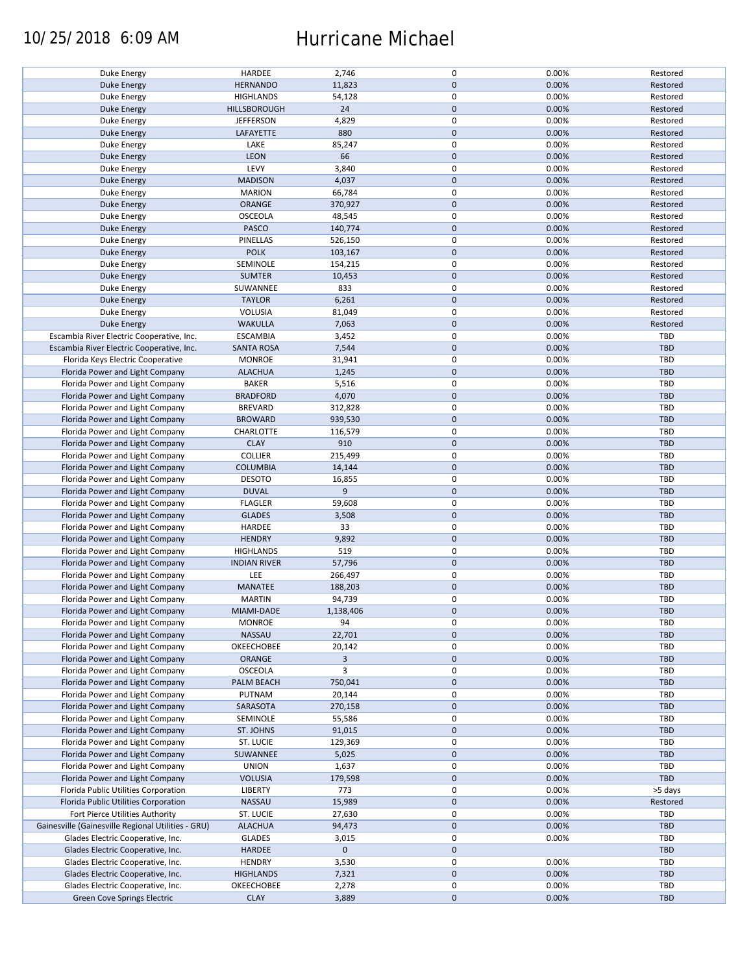### 10/25/2018 6:09 AM Hurricane Michael

| Duke Energy                                        | HARDEE              | 2,746          | $\mathsf 0$      | 0.00% | Restored   |
|----------------------------------------------------|---------------------|----------------|------------------|-------|------------|
| Duke Energy                                        | <b>HERNANDO</b>     | 11,823         | $\mathbf 0$      | 0.00% | Restored   |
| Duke Energy                                        | <b>HIGHLANDS</b>    | 54,128         | $\mathsf 0$      | 0.00% | Restored   |
| <b>Duke Energy</b>                                 | HILLSBOROUGH        | 24             | $\pmb{0}$        | 0.00% | Restored   |
|                                                    |                     | 4,829          | $\mathsf 0$      | 0.00% |            |
| Duke Energy                                        | <b>JEFFERSON</b>    |                |                  |       | Restored   |
| Duke Energy                                        | LAFAYETTE           | 880            | $\mathbf 0$      | 0.00% | Restored   |
| Duke Energy                                        | LAKE                | 85,247         | $\pmb{0}$        | 0.00% | Restored   |
| Duke Energy                                        | LEON                | 66             | $\mathbf 0$      | 0.00% | Restored   |
| Duke Energy                                        | LEVY                | 3,840          | $\pmb{0}$        | 0.00% | Restored   |
|                                                    |                     |                | $\mathbf 0$      |       |            |
| Duke Energy                                        | <b>MADISON</b>      | 4,037          |                  | 0.00% | Restored   |
| Duke Energy                                        | <b>MARION</b>       | 66,784         | $\mathsf 0$      | 0.00% | Restored   |
| <b>Duke Energy</b>                                 | ORANGE              | 370,927        | $\pmb{0}$        | 0.00% | Restored   |
| Duke Energy                                        | <b>OSCEOLA</b>      | 48,545         | $\mathsf 0$      | 0.00% | Restored   |
| Duke Energy                                        | PASCO               | 140,774        | $\mathbf 0$      | 0.00% | Restored   |
|                                                    |                     |                |                  |       |            |
| Duke Energy                                        | PINELLAS            | 526,150        | $\mathsf 0$      | 0.00% | Restored   |
| Duke Energy                                        | <b>POLK</b>         | 103,167        | $\mathbf 0$      | 0.00% | Restored   |
| Duke Energy                                        | SEMINOLE            | 154,215        | $\pmb{0}$        | 0.00% | Restored   |
| Duke Energy                                        | <b>SUMTER</b>       | 10,453         | $\pmb{0}$        | 0.00% | Restored   |
| Duke Energy                                        | SUWANNEE            | 833            | $\mathsf 0$      | 0.00% | Restored   |
|                                                    |                     |                |                  |       |            |
| Duke Energy                                        | <b>TAYLOR</b>       | 6,261          | $\mathbf 0$      | 0.00% | Restored   |
| Duke Energy                                        | VOLUSIA             | 81,049         | $\mathsf 0$      | 0.00% | Restored   |
| Duke Energy                                        | <b>WAKULLA</b>      | 7,063          | $\mathbf 0$      | 0.00% | Restored   |
| Escambia River Electric Cooperative, Inc.          | <b>ESCAMBIA</b>     | 3,452          | $\mathsf 0$      | 0.00% | TBD        |
| Escambia River Electric Cooperative, Inc.          | <b>SANTA ROSA</b>   | 7,544          | $\mathbf 0$      | 0.00% | TBD        |
|                                                    |                     |                |                  |       |            |
| Florida Keys Electric Cooperative                  | <b>MONROE</b>       | 31,941         | 0                | 0.00% | TBD        |
| Florida Power and Light Company                    | <b>ALACHUA</b>      | 1,245          | $\pmb{0}$        | 0.00% | <b>TBD</b> |
| Florida Power and Light Company                    | <b>BAKER</b>        | 5,516          | 0                | 0.00% | TBD        |
| Florida Power and Light Company                    | <b>BRADFORD</b>     | 4,070          | $\mathbf 0$      | 0.00% | TBD        |
| Florida Power and Light Company                    | <b>BREVARD</b>      | 312,828        | $\mathsf 0$      | 0.00% | TBD        |
|                                                    |                     |                |                  |       |            |
| Florida Power and Light Company                    | <b>BROWARD</b>      | 939,530        | $\mathbf 0$      | 0.00% | TBD        |
| Florida Power and Light Company                    | CHARLOTTE           | 116,579        | $\mathbf 0$      | 0.00% | <b>TBD</b> |
| Florida Power and Light Company                    | <b>CLAY</b>         | 910            | $\mathbf 0$      | 0.00% | TBD        |
| Florida Power and Light Company                    | <b>COLLIER</b>      | 215,499        | $\mathsf 0$      | 0.00% | TBD        |
| Florida Power and Light Company                    | <b>COLUMBIA</b>     | 14,144         | $\mathbf 0$      | 0.00% | <b>TBD</b> |
|                                                    |                     |                |                  |       |            |
| Florida Power and Light Company                    | <b>DESOTO</b>       | 16,855         | $\mathsf 0$      | 0.00% | <b>TBD</b> |
| Florida Power and Light Company                    | <b>DUVAL</b>        | 9              | $\mathbf 0$      | 0.00% | <b>TBD</b> |
| Florida Power and Light Company                    | <b>FLAGLER</b>      | 59,608         | $\mathsf 0$      | 0.00% | <b>TBD</b> |
| Florida Power and Light Company                    | <b>GLADES</b>       | 3,508          | $\mathbf 0$      | 0.00% | TBD        |
| Florida Power and Light Company                    | HARDEE              | 33             | $\mathsf 0$      | 0.00% | TBD        |
|                                                    |                     |                |                  |       |            |
| Florida Power and Light Company                    | <b>HENDRY</b>       | 9,892          | $\mathbf 0$      | 0.00% | TBD        |
| Florida Power and Light Company                    | <b>HIGHLANDS</b>    | 519            | $\mathsf 0$      | 0.00% | TBD        |
| Florida Power and Light Company                    | <b>INDIAN RIVER</b> | 57,796         | $\pmb{0}$        | 0.00% | TBD        |
| Florida Power and Light Company                    | LEE                 | 266,497        | 0                | 0.00% | TBD        |
| Florida Power and Light Company                    | MANATEE             | 188,203        | $\mathbf 0$      | 0.00% | <b>TBD</b> |
|                                                    |                     |                |                  |       |            |
| Florida Power and Light Company                    | <b>MARTIN</b>       | 94,739         | $\pmb{0}$        | 0.00% | TBD        |
| Florida Power and Light Company                    | MIAMI-DADE          | 1,138,406      | $\mathbf{0}$     | 0.00% | <b>TBD</b> |
| Florida Power and Light Company                    | <b>MONROE</b>       | 94             | $\mathsf 0$      | 0.00% | TBD        |
| Florida Power and Light Company                    | NASSAU              | 22,701         | $\mathbf 0$      | 0.00% | <b>TBD</b> |
|                                                    |                     |                |                  |       |            |
| Florida Power and Light Company                    | OKEECHOBEE          | 20,142         | 0                | 0.00% | TBD        |
| Florida Power and Light Company                    | ORANGE              | $\overline{3}$ | $\mathbf 0$      | 0.00% | <b>TBD</b> |
| Florida Power and Light Company                    | <b>OSCEOLA</b>      | 3              | 0                | 0.00% | TBD        |
| Florida Power and Light Company                    | PALM BEACH          | 750,041        | $\mathbf 0$      | 0.00% | TBD        |
| Florida Power and Light Company                    | PUTNAM              | 20,144         | $\mathsf 0$      | 0.00% | <b>TBD</b> |
| Florida Power and Light Company                    | SARASOTA            | 270,158        | $\boldsymbol{0}$ | 0.00% | TBD        |
|                                                    |                     |                |                  |       |            |
| Florida Power and Light Company                    | SEMINOLE            | 55,586         | $\mathsf 0$      | 0.00% | TBD        |
| Florida Power and Light Company                    | ST. JOHNS           | 91,015         | $\mathbf 0$      | 0.00% | TBD        |
| Florida Power and Light Company                    | ST. LUCIE           | 129,369        | $\mathsf 0$      | 0.00% | TBD        |
| Florida Power and Light Company                    | SUWANNEE            | 5,025          | $\mathbf 0$      | 0.00% | <b>TBD</b> |
| Florida Power and Light Company                    | <b>UNION</b>        |                | $\pmb{0}$        | 0.00% | TBD        |
|                                                    |                     | 1,637          |                  |       |            |
| Florida Power and Light Company                    | <b>VOLUSIA</b>      | 179,598        | $\mathbf 0$      | 0.00% | TBD        |
| Florida Public Utilities Corporation               | LIBERTY             | 773            | $\mathsf 0$      | 0.00% | >5 days    |
| Florida Public Utilities Corporation               | <b>NASSAU</b>       | 15,989         | $\boldsymbol{0}$ | 0.00% | Restored   |
| Fort Pierce Utilities Authority                    | ST. LUCIE           | 27,630         | $\pmb{0}$        | 0.00% | TBD        |
|                                                    |                     |                |                  |       |            |
| Gainesville (Gainesville Regional Utilities - GRU) | <b>ALACHUA</b>      | 94,473         | $\mathbf 0$      | 0.00% | TBD        |
| Glades Electric Cooperative, Inc.                  | <b>GLADES</b>       | 3,015          | $\mathsf 0$      | 0.00% | TBD        |
| Glades Electric Cooperative, Inc.                  | <b>HARDEE</b>       | $\mathbf 0$    | $\pmb{0}$        |       | TBD        |
| Glades Electric Cooperative, Inc.                  | <b>HENDRY</b>       | 3,530          | 0                | 0.00% | TBD        |
| Glades Electric Cooperative, Inc.                  | <b>HIGHLANDS</b>    | 7,321          | $\mathbf 0$      | 0.00% | TBD        |
|                                                    |                     |                |                  |       |            |
| Glades Electric Cooperative, Inc.                  | OKEECHOBEE          | 2,278          | $\mathbf 0$      | 0.00% | TBD        |
| Green Cove Springs Electric                        | <b>CLAY</b>         | 3,889          | $\pmb{0}$        | 0.00% | TBD        |